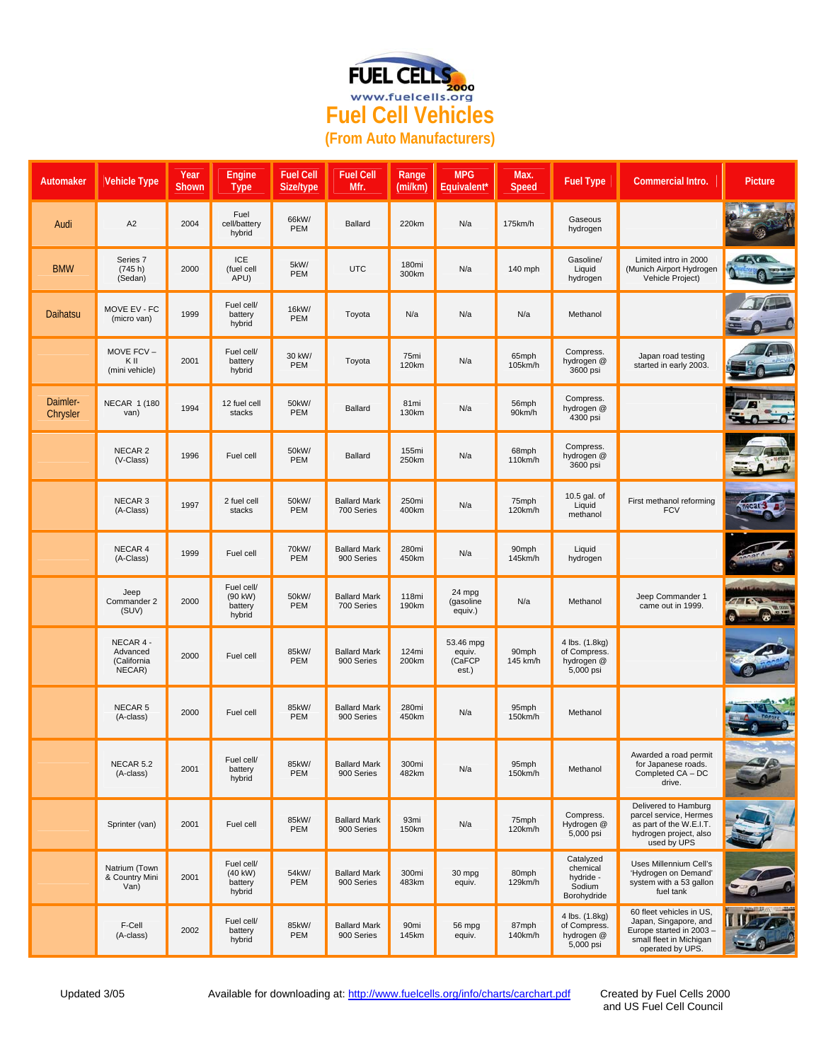

| Automaker            | <b>Vehicle Type</b>                            | Year<br>Shown | Engine<br><b>Type</b>                      | <b>Fuel Cell</b><br>Size/type | <b>Fuel Cell</b><br>Mfr.          | Range<br>(mi/km)          | <b>MPG</b><br>Equivalent*              | Max.<br><b>Speed</b> | <b>Fuel Type</b>                                            | Commercial Intro.                                                                                                            | <b>Picture</b> |
|----------------------|------------------------------------------------|---------------|--------------------------------------------|-------------------------------|-----------------------------------|---------------------------|----------------------------------------|----------------------|-------------------------------------------------------------|------------------------------------------------------------------------------------------------------------------------------|----------------|
| Audi                 | A <sub>2</sub>                                 | 2004          | Fuel<br>cell/battery<br>hybrid             | 66kW/<br>PEM                  | Ballard                           | 220km                     | N/a                                    | 175km/h              | Gaseous<br>hydrogen                                         |                                                                                                                              |                |
| <b>BMW</b>           | Series 7<br>(745 h)<br>(Sedan)                 | 2000          | <b>ICE</b><br>(fuel cell<br>APU)           | 5kW/<br>PEM                   | <b>UTC</b>                        | 180mi<br>300km            | N/a                                    | 140 mph              | Gasoline/<br>Liquid<br>hydrogen                             | Limited intro in 2000<br>(Munich Airport Hydrogen<br>Vehicle Project)                                                        | $-566$         |
| Daihatsu             | MOVE EV - FC<br>(micro van)                    | 1999          | Fuel cell/<br>battery<br>hybrid            | 16kW/<br>PEM                  | Toyota                            | N/a                       | N/a                                    | N/a                  | Methanol                                                    |                                                                                                                              |                |
|                      | MOVE FCV-<br>K II<br>(mini vehicle)            | 2001          | Fuel cell/<br>battery<br>hybrid            | 30 kW/<br>PEM                 | Toyota                            | 75mi<br>120km             | N/a                                    | 65mph<br>105km/h     | Compress.<br>hydrogen @<br>3600 psi                         | Japan road testing<br>started in early 2003.                                                                                 |                |
| Daimler-<br>Chrysler | <b>NECAR 1 (180</b><br>van)                    | 1994          | 12 fuel cell<br>stacks                     | 50kW/<br>PEM                  | Ballard                           | 81 <sub>mi</sub><br>130km | N/a                                    | 56mph<br>90km/h      | Compress.<br>hydrogen @<br>4300 psi                         |                                                                                                                              | $\sim$         |
|                      | NECAR <sub>2</sub><br>(V-Class)                | 1996          | Fuel cell                                  | 50kW/<br>PEM                  | Ballard                           | 155mi<br>250km            | N/a                                    | 68mph<br>110km/h     | Compress.<br>hydrogen @<br>3600 psi                         |                                                                                                                              |                |
|                      | NECAR <sub>3</sub><br>(A-Class)                | 1997          | 2 fuel cell<br>stacks                      | 50kW/<br>PEM                  | <b>Ballard Mark</b><br>700 Series | 250mi<br>400km            | N/a                                    | 75mph<br>120km/h     | 10.5 gal. of<br>Liquid<br>methanol                          | First methanol reforming<br><b>FCV</b>                                                                                       |                |
|                      | NECAR 4<br>(A-Class)                           | 1999          | Fuel cell                                  | 70kW/<br>PEM                  | <b>Ballard Mark</b><br>900 Series | 280mi<br>450km            | N/a                                    | 90mph<br>145km/h     | Liquid<br>hydrogen                                          |                                                                                                                              |                |
|                      | Jeep<br>Commander 2<br>(SUV)                   | 2000          | Fuel cell/<br>(90 kW)<br>battery<br>hybrid | 50kW/<br>PEM                  | <b>Ballard Mark</b><br>700 Series | 118mi<br>190km            | 24 mpg<br>(gasoline<br>equiv.)         | N/a                  | Methanol                                                    | Jeep Commander 1<br>came out in 1999.                                                                                        |                |
|                      | NECAR 4 -<br>Advanced<br>(California<br>NECAR) | 2000          | Fuel cell                                  | 85kW/<br>PEM                  | <b>Ballard Mark</b><br>900 Series | 124mi<br>200km            | 53.46 mpg<br>equiv.<br>(CaFCP<br>est.) | 90mph<br>145 km/h    | 4 lbs. (1.8kg)<br>of Compress.<br>hydrogen @<br>5,000 psi   |                                                                                                                              |                |
|                      | NECAR <sub>5</sub><br>(A-class)                | 2000          | Fuel cell                                  | 85kW/<br>PEM                  | <b>Ballard Mark</b><br>900 Series | 280mi<br>450km            | N/a                                    | 95mph<br>150km/h     | Methanol                                                    |                                                                                                                              |                |
|                      | NECAR 5.2<br>(A-class)                         | 2001          | Fuel cell/<br>battery<br>hybrid            | 85kW/<br>PEM                  | <b>Ballard Mark</b><br>900 Series | 300mi<br>482km            | N/a                                    | 95mph<br>150km/h     | Methanol                                                    | Awarded a road permit<br>for Japanese roads.<br>Completed CA - DC<br>drive.                                                  |                |
|                      | Sprinter (van)                                 | 2001          | Fuel cell                                  | 85kW/<br>PEM                  | <b>Ballard Mark</b><br>900 Series | 93mi<br>150km             | N/a                                    | 75mph<br>120km/h     | Compress.<br>Hydrogen @<br>5,000 psi                        | Delivered to Hamburg<br>parcel service, Hermes<br>as part of the W.E.I.T.<br>hydrogen project, also<br>used by UPS           |                |
|                      | Natrium (Town<br>& Country Mini<br>Van)        | 2001          | Fuel cell/<br>(40 kW)<br>battery<br>hybrid | 54kW/<br>PEM                  | <b>Ballard Mark</b><br>900 Series | 300mi<br>483km            | 30 mpg<br>equiv.                       | 80mph<br>129km/h     | Catalyzed<br>chemical<br>hydride -<br>Sodium<br>Borohydride | Uses Millennium Cell's<br>'Hydrogen on Demand'<br>system with a 53 gallon<br>fuel tank                                       |                |
|                      | F-Cell<br>(A-class)                            | 2002          | Fuel cell/<br>battery<br>hybrid            | 85kW/<br>PEM                  | <b>Ballard Mark</b><br>900 Series | 90mi<br>145km             | 56 mpg<br>equiv.                       | 87mph<br>140km/h     | 4 lbs. (1.8kg)<br>of Compress.<br>hydrogen @<br>5,000 psi   | 60 fleet vehicles in US,<br>Japan, Singapore, and<br>Europe started in 2003 -<br>small fleet in Michigan<br>operated by UPS. |                |

and US Fuel Cell Council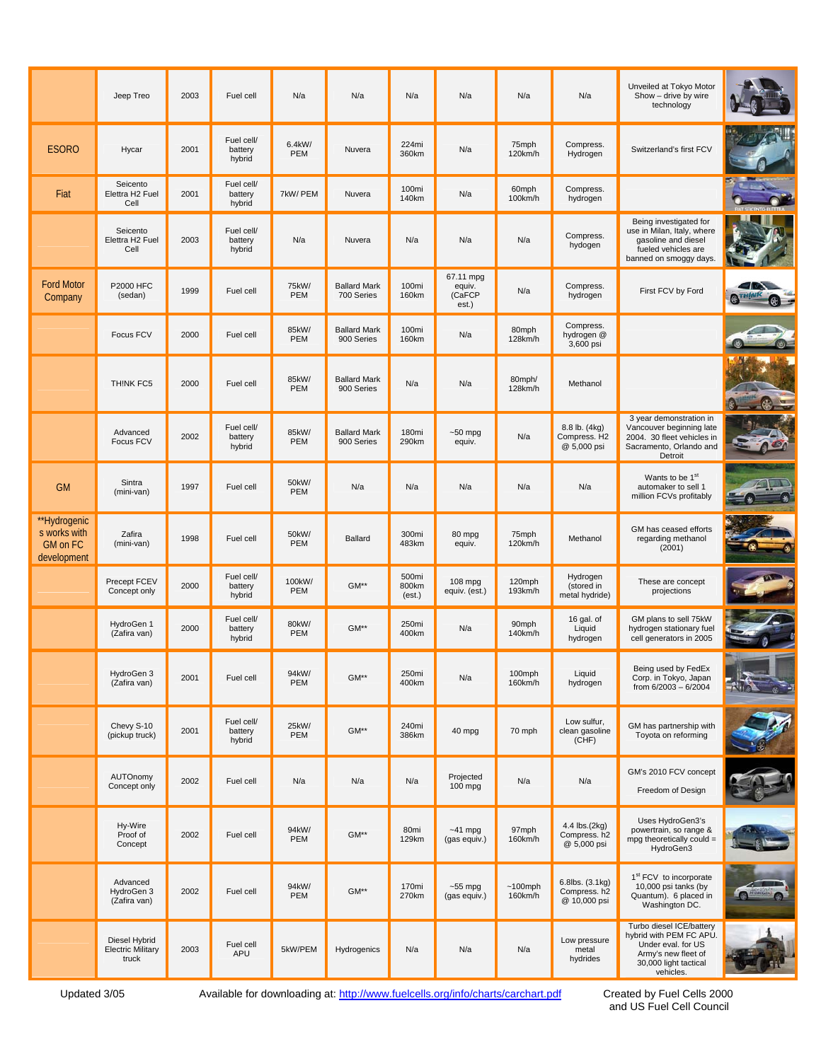|                                                         | Jeep Treo                                          | 2003 | Fuel cell                       | N/a           | N/a                               | N/a                      | N/a                                    | N/a                   | N/a                                             | Unveiled at Tokyo Motor<br>Show - drive by wire<br>technology                                                                          |  |
|---------------------------------------------------------|----------------------------------------------------|------|---------------------------------|---------------|-----------------------------------|--------------------------|----------------------------------------|-----------------------|-------------------------------------------------|----------------------------------------------------------------------------------------------------------------------------------------|--|
| <b>ESORO</b>                                            | Hycar                                              | 2001 | Fuel cell/<br>battery<br>hybrid | 6.4kW/<br>PEM | Nuvera                            | 224mi<br>360km           | N/a                                    | 75mph<br>120km/h      | Compress.<br>Hydrogen                           | Switzerland's first FCV                                                                                                                |  |
| Fiat                                                    | Seicento<br>Elettra H2 Fuel<br>Cell                | 2001 | Fuel cell/<br>battery<br>hybrid | 7kW/ PEM      | Nuvera                            | 100mi<br>140km           | N/a                                    | 60mph<br>100km/h      | Compress.<br>hydrogen                           |                                                                                                                                        |  |
|                                                         | Seicento<br>Elettra H2 Fuel<br>Cell                | 2003 | Fuel cell/<br>battery<br>hybrid | N/a           | Nuvera                            | N/a                      | N/a                                    | N/a                   | Compress.<br>hydogen                            | Being investigated for<br>use in Milan, Italy, where<br>gasoline and diesel<br>fueled vehicles are<br>banned on smoggy days.           |  |
| <b>Ford Motor</b><br>Company                            | P2000 HFC<br>(sedan)                               | 1999 | Fuel cell                       | 75kW/<br>PEM  | <b>Ballard Mark</b><br>700 Series | 100mi<br>160km           | 67.11 mpg<br>equiv.<br>(CaFCP<br>est.) | N/a                   | Compress.<br>hydrogen                           | First FCV by Ford                                                                                                                      |  |
|                                                         | Focus FCV                                          | 2000 | Fuel cell                       | 85kW/<br>PEM  | <b>Ballard Mark</b><br>900 Series | 100mi<br>160km           | N/a                                    | 80mph<br>128km/h      | Compress.<br>hydrogen @<br>3,600 psi            |                                                                                                                                        |  |
|                                                         | THINK FC5                                          | 2000 | Fuel cell                       | 85kW/<br>PEM  | <b>Ballard Mark</b><br>900 Series | N/a                      | N/a                                    | 80mph/<br>128km/h     | Methanol                                        |                                                                                                                                        |  |
|                                                         | Advanced<br>Focus FCV                              | 2002 | Fuel cell/<br>battery<br>hybrid | 85kW/<br>PEM  | <b>Ballard Mark</b><br>900 Series | 180mi<br>290km           | $-50$ mpg<br>equiv.                    | N/a                   | 8.8 lb. (4kg)<br>Compress. H2<br>@ 5,000 psi    | 3 year demonstration in<br>Vancouver beginning late<br>2004. 30 fleet vehicles in<br>Sacramento, Orlando and<br>Detroit                |  |
| <b>GM</b>                                               | Sintra<br>(mini-van)                               | 1997 | Fuel cell                       | 50kW/<br>PEM  | N/a                               | N/a                      | N/a                                    | N/a                   | N/a                                             | Wants to be 1 <sup>st</sup><br>automaker to sell 1<br>million FCVs profitably                                                          |  |
| **Hydrogenic<br>s works with<br>GM on FC<br>development | Zafira<br>(mini-van)                               | 1998 | Fuel cell                       | 50kW/<br>PEM  | Ballard                           | 300mi<br>483km           | 80 mpg<br>equiv.                       | 75mph<br>120km/h      | Methanol                                        | GM has ceased efforts<br>regarding methanol<br>(2001)                                                                                  |  |
|                                                         | Precept FCEV<br>Concept only                       | 2000 | Fuel cell/<br>battery<br>hybrid | 100kW/<br>PEM | GM**                              | 500mi<br>800km<br>(est.) | $108$ mpg<br>equiv. (est.)             | 120mph<br>193km/h     | Hydrogen<br>(stored in<br>metal hydride)        | These are concept<br>projections                                                                                                       |  |
|                                                         | HydroGen 1<br>(Zafira van)                         | 2000 | Fuel cell/<br>battery<br>hybrid | 80kW/<br>PEM  | GM**                              | 250mi<br>400km           | N/a                                    | 90mph<br>140km/h      | 16 gal. of<br>Liquid<br>hydrogen                | GM plans to sell 75kW<br>hydrogen stationary fuel<br>cell generators in 2005                                                           |  |
|                                                         | HydroGen 3<br>(Zafira van)                         | 2001 | Fuel cell                       | 94kW/<br>PEM  | GM**                              | 250mi<br>400km           | N/a                                    | 100mph<br>160km/h     | Liquid<br>hydrogen                              | Being used by FedEx<br>Corp. in Tokyo, Japan<br>from 6/2003 - 6/2004                                                                   |  |
|                                                         | Chevy S-10<br>(pickup truck)                       | 2001 | Fuel cell/<br>battery<br>hybrid | 25kW/<br>PEM  | GM**                              | 240mi<br>386km           | 40 mpg                                 | 70 mph                | Low sulfur,<br>clean gasoline<br>(CHF)          | GM has partnership with<br>Toyota on reforming                                                                                         |  |
|                                                         | AUTOnomy<br>Concept only                           | 2002 | Fuel cell                       | N/a           | N/a                               | N/a                      | Projected<br>100 mpg                   | N/a                   | N/a                                             | GM's 2010 FCV concept<br>Freedom of Design                                                                                             |  |
|                                                         | Hy-Wire<br>Proof of<br>Concept                     | 2002 | Fuel cell                       | 94kW/<br>PEM  | GM**                              | 80mi<br>129km            | $~-41$ mpg<br>(gas equiv.)             | 97mph<br>160km/h      | 4.4 lbs.(2kg)<br>Compress. h2<br>@ 5,000 psi    | Uses HydroGen3's<br>powertrain, so range &<br>mpg theoretically could $=$<br>HydroGen3                                                 |  |
|                                                         | Advanced<br>HydroGen 3<br>(Zafira van)             | 2002 | Fuel cell                       | 94kW/<br>PEM  | GM**                              | 170mi<br>270km           | $~55$ mpg<br>(gas equiv.)              | $~100$ mph<br>160km/h | 6.8lbs. (3.1kg)<br>Compress. h2<br>@ 10,000 psi | 1 <sup>st</sup> FCV to incorporate<br>10,000 psi tanks (by<br>Quantum). 6 placed in<br>Washington DC.                                  |  |
|                                                         | Diesel Hybrid<br><b>Electric Military</b><br>truck | 2003 | Fuel cell<br>APU                | 5kW/PEM       | Hydrogenics                       | N/a                      | N/a                                    | N/a                   | Low pressure<br>metal<br>hydrides               | Turbo diesel ICE/battery<br>hybrid with PEM FC APU.<br>Under eval. for US<br>Army's new fleet of<br>30,000 light tactical<br>vehicles. |  |

Updated 3/05 Available for downloading at: http://www.fuelcells.org/info/charts/carchart.pdf

Created by Fuel Cells 2000<br>and US Fuel Cell Council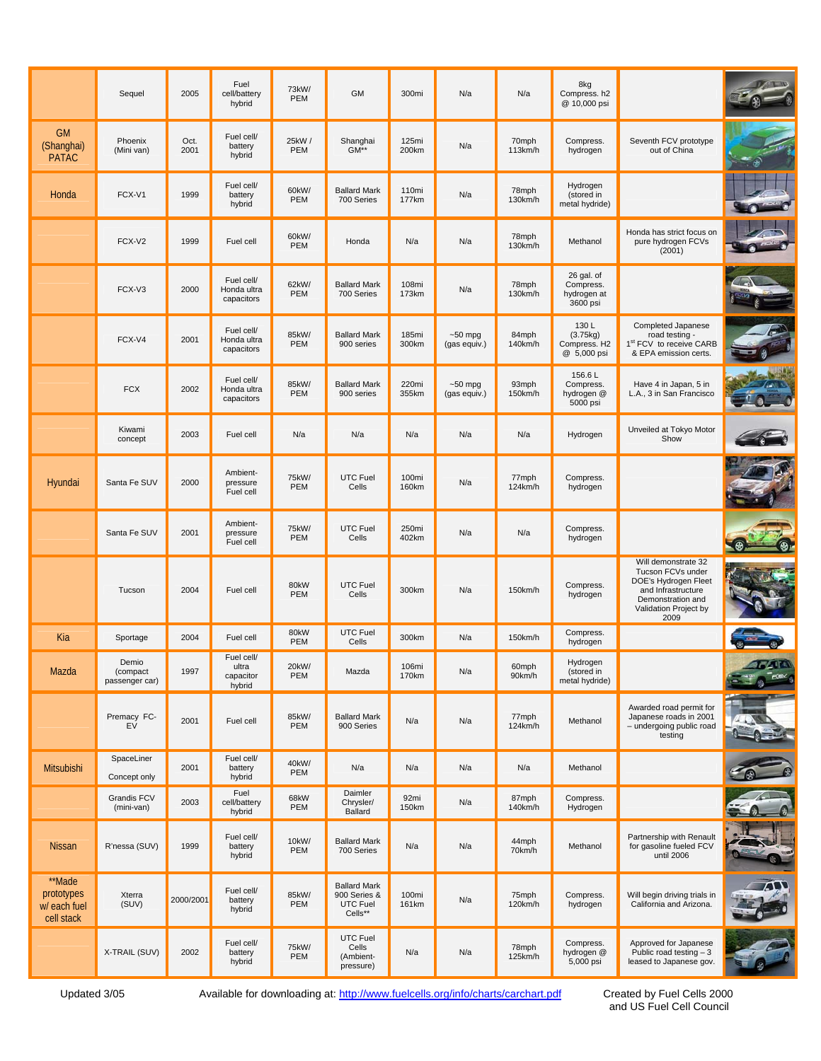|                                                    | Sequel                              | 2005         | Fuel<br>cell/battery<br>hybrid             | 73kW/<br>PEM | <b>GM</b>                                                  | 300mi          | N/a                       | N/a              | 8kg<br>Compress. h2<br>@ 10,000 psi                |                                                                                                                                              |                     |
|----------------------------------------------------|-------------------------------------|--------------|--------------------------------------------|--------------|------------------------------------------------------------|----------------|---------------------------|------------------|----------------------------------------------------|----------------------------------------------------------------------------------------------------------------------------------------------|---------------------|
| <b>GM</b><br>(Shanghai)<br><b>PATAC</b>            | Phoenix<br>(Mini van)               | Oct.<br>2001 | Fuel cell/<br>battery<br>hybrid            | 25kW/<br>PEM | Shanghai<br>$GM**$                                         | 125mi<br>200km | N/a                       | 70mph<br>113km/h | Compress.<br>hydrogen                              | Seventh FCV prototype<br>out of China                                                                                                        |                     |
| Honda                                              | FCX-V1                              | 1999         | Fuel cell/<br>battery<br>hybrid            | 60kW/<br>PEM | <b>Ballard Mark</b><br>700 Series                          | 110mi<br>177km | N/a                       | 78mph<br>130km/h | Hydrogen<br>(stored in<br>metal hydride)           |                                                                                                                                              |                     |
|                                                    | FCX-V2                              | 1999         | Fuel cell                                  | 60kW/<br>PEM | Honda                                                      | N/a            | N/a                       | 78mph<br>130km/h | Methanol                                           | Honda has strict focus on<br>pure hydrogen FCVs<br>(2001)                                                                                    |                     |
|                                                    | FCX-V3                              | 2000         | Fuel cell/<br>Honda ultra<br>capacitors    | 62kW/<br>PEM | <b>Ballard Mark</b><br>700 Series                          | 108mi<br>173km | N/a                       | 78mph<br>130km/h | 26 gal. of<br>Compress.<br>hydrogen at<br>3600 psi |                                                                                                                                              |                     |
|                                                    | FCX-V4                              | 2001         | Fuel cell/<br>Honda ultra<br>capacitors    | 85kW/<br>PEM | <b>Ballard Mark</b><br>900 series                          | 185mi<br>300km | $-50$ mpg<br>(gas equiv.) | 84mph<br>140km/h | 130L<br>(3.75kg)<br>Compress. H2<br>@ 5,000 psi    | Completed Japanese<br>road testing -<br>1st FCV to receive CARB<br>& EPA emission certs.                                                     |                     |
|                                                    | <b>FCX</b>                          | 2002         | Fuel cell/<br>Honda ultra<br>capacitors    | 85kW/<br>PEM | <b>Ballard Mark</b><br>900 series                          | 220mi<br>355km | $-50$ mpg<br>(gas equiv.) | 93mph<br>150km/h | 156.6L<br>Compress.<br>hydrogen @<br>5000 psi      | Have 4 in Japan, 5 in<br>L.A., 3 in San Francisco                                                                                            |                     |
|                                                    | Kiwami<br>concept                   | 2003         | Fuel cell                                  | N/a          | N/a                                                        | N/a            | N/a                       | N/a              | Hydrogen                                           | Unveiled at Tokyo Motor<br>Show                                                                                                              |                     |
| Hyundai                                            | Santa Fe SUV                        | 2000         | Ambient-<br>pressure<br>Fuel cell          | 75kW/<br>PEM | UTC Fuel<br>Cells                                          | 100mi<br>160km | N/a                       | 77mph<br>124km/h | Compress.<br>hydrogen                              |                                                                                                                                              |                     |
|                                                    | Santa Fe SUV                        | 2001         | Ambient-<br>pressure<br>Fuel cell          | 75kW/<br>PEM | UTC Fuel<br>Cells                                          | 250mi<br>402km | N/a                       | N/a              | Compress.<br>hydrogen                              |                                                                                                                                              |                     |
|                                                    | Tucson                              | 2004         | Fuel cell                                  | 80kW<br>PEM  | <b>UTC Fuel</b><br>Cells                                   | 300km          | N/a                       | 150km/h          | Compress.<br>hydrogen                              | Will demonstrate 32<br>Tucson FCVs under<br>DOE's Hydrogen Fleet<br>and Infrastructure<br>Demonstration and<br>Validation Project by<br>2009 |                     |
| Kia                                                | Sportage                            | 2004         | Fuel cell                                  | 80kW<br>PEM  | UTC Fuel<br>Cells                                          | 300km          | N/a                       | 150km/h          | Compress.<br>hydrogen                              |                                                                                                                                              |                     |
| Mazda                                              | Demio<br>(compact<br>passenger car) | 1997         | Fuel cell/<br>ultra<br>capacitor<br>hybrid | 20kW/<br>PEM | Mazda                                                      | 106mi<br>170km | N/a                       | 60mph<br>90km/h  | Hydrogen<br>(stored in<br>metal hydride)           |                                                                                                                                              | <b>GATE</b><br>FORV |
|                                                    | Premacy FC-<br>EV                   | 2001         | Fuel cell                                  | 85kW/<br>PEM | <b>Ballard Mark</b><br>900 Series                          | N/a            | N/a                       | 77mph<br>124km/h | Methanol                                           | Awarded road permit for<br>Japanese roads in 2001<br>- undergoing public road<br>testing                                                     |                     |
| Mitsubishi                                         | SpaceLiner<br>Concept only          | 2001         | Fuel cell/<br>battery<br>hybrid            | 40kW/<br>PEM | N/a                                                        | N/a            | N/a                       | N/a              | Methanol                                           |                                                                                                                                              |                     |
|                                                    | <b>Grandis FCV</b><br>(mini-van)    | 2003         | Fuel<br>cell/battery<br>hybrid             | 68kW<br>PEM  | Daimler<br>Chrysler/<br>Ballard                            | 92mi<br>150km  | N/a                       | 87mph<br>140km/h | Compress.<br>Hydrogen                              |                                                                                                                                              |                     |
| <b>Nissan</b>                                      | R'nessa (SUV)                       | 1999         | Fuel cell/<br>battery<br>hybrid            | 10kW/<br>PEM | <b>Ballard Mark</b><br>700 Series                          | N/a            | N/a                       | 44mph<br>70km/h  | Methanol                                           | Partnership with Renault<br>for gasoline fueled FCV<br>until 2006                                                                            |                     |
| **Made<br>prototypes<br>w/ each fuel<br>cell stack | Xterra<br>(SUV)                     | 2000/2001    | Fuel cell/<br>battery<br>hybrid            | 85kW/<br>PEM | <b>Ballard Mark</b><br>900 Series &<br>UTC Fuel<br>Cells** | 100mi<br>161km | N/a                       | 75mph<br>120km/h | Compress.<br>hydrogen                              | Will begin driving trials in<br>California and Arizona.                                                                                      |                     |
|                                                    | X-TRAIL (SUV)                       | 2002         | Fuel cell/<br>battery<br>hybrid            | 75kW/<br>PEM | UTC Fuel<br>Cells<br>(Ambient-<br>pressure)                | N/a            | N/a                       | 78mph<br>125km/h | Compress.<br>hydrogen @<br>5,000 psi               | Approved for Japanese<br>Public road testing $-3$<br>leased to Japanese gov.                                                                 |                     |

Updated 3/05 Available for downloading at: http://www.fuelcells.org/info/charts/carchart.pdf

Created by Fuel Cells 2000<br>and US Fuel Cell Council